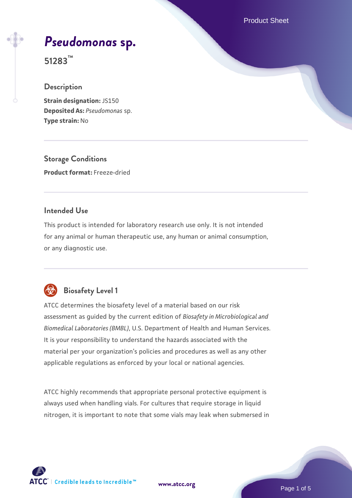Product Sheet

# *[Pseudomonas](https://www.atcc.org/products/51283)* **[sp.](https://www.atcc.org/products/51283)**

**51283™**

#### **Description**

**Strain designation:** JS150 **Deposited As:** *Pseudomonas* sp. **Type strain:** No

**Storage Conditions Product format:** Freeze-dried

#### **Intended Use**

This product is intended for laboratory research use only. It is not intended for any animal or human therapeutic use, any human or animal consumption, or any diagnostic use.



### **Biosafety Level 1**

ATCC determines the biosafety level of a material based on our risk assessment as guided by the current edition of *Biosafety in Microbiological and Biomedical Laboratories (BMBL)*, U.S. Department of Health and Human Services. It is your responsibility to understand the hazards associated with the material per your organization's policies and procedures as well as any other applicable regulations as enforced by your local or national agencies.

ATCC highly recommends that appropriate personal protective equipment is always used when handling vials. For cultures that require storage in liquid nitrogen, it is important to note that some vials may leak when submersed in

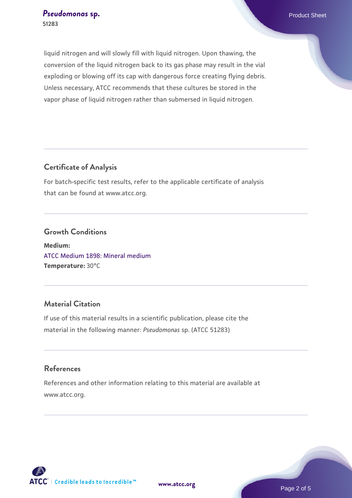liquid nitrogen and will slowly fill with liquid nitrogen. Upon thawing, the conversion of the liquid nitrogen back to its gas phase may result in the vial exploding or blowing off its cap with dangerous force creating flying debris. Unless necessary, ATCC recommends that these cultures be stored in the vapor phase of liquid nitrogen rather than submersed in liquid nitrogen.

#### **Certificate of Analysis**

For batch-specific test results, refer to the applicable certificate of analysis that can be found at www.atcc.org.

#### **Growth Conditions**

**Medium:**  [ATCC Medium 1898: Mineral medium](https://www.atcc.org/-/media/product-assets/documents/microbial-media-formulations/atcc-medium-1898.pdf?rev=a0523fceb51f46a5ab98770f5878e0bd) **Temperature:** 30°C

#### **Material Citation**

If use of this material results in a scientific publication, please cite the material in the following manner: *Pseudomonas* sp. (ATCC 51283)

#### **References**

References and other information relating to this material are available at www.atcc.org.

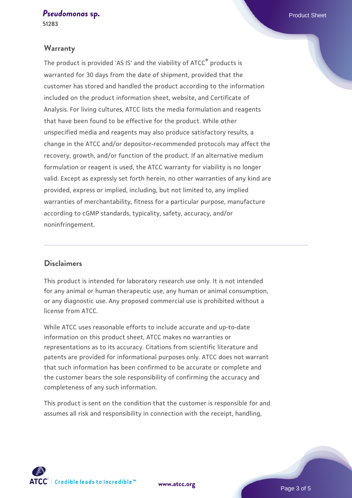#### **[Pseudomonas](https://www.atcc.org/products/51283) [sp.](https://www.atcc.org/products/51283) Product Sheet**

**51283**

#### **Warranty**

The product is provided 'AS IS' and the viability of ATCC® products is warranted for 30 days from the date of shipment, provided that the customer has stored and handled the product according to the information included on the product information sheet, website, and Certificate of Analysis. For living cultures, ATCC lists the media formulation and reagents that have been found to be effective for the product. While other unspecified media and reagents may also produce satisfactory results, a change in the ATCC and/or depositor-recommended protocols may affect the recovery, growth, and/or function of the product. If an alternative medium formulation or reagent is used, the ATCC warranty for viability is no longer valid. Except as expressly set forth herein, no other warranties of any kind are provided, express or implied, including, but not limited to, any implied warranties of merchantability, fitness for a particular purpose, manufacture according to cGMP standards, typicality, safety, accuracy, and/or noninfringement.

#### **Disclaimers**

This product is intended for laboratory research use only. It is not intended for any animal or human therapeutic use, any human or animal consumption, or any diagnostic use. Any proposed commercial use is prohibited without a license from ATCC.

While ATCC uses reasonable efforts to include accurate and up-to-date information on this product sheet, ATCC makes no warranties or representations as to its accuracy. Citations from scientific literature and patents are provided for informational purposes only. ATCC does not warrant that such information has been confirmed to be accurate or complete and the customer bears the sole responsibility of confirming the accuracy and completeness of any such information.

This product is sent on the condition that the customer is responsible for and assumes all risk and responsibility in connection with the receipt, handling,

**[www.atcc.org](http://www.atcc.org)**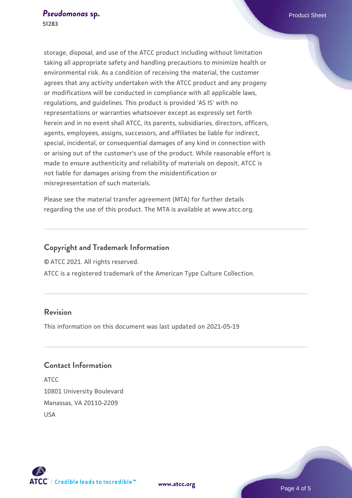storage, disposal, and use of the ATCC product including without limitation taking all appropriate safety and handling precautions to minimize health or environmental risk. As a condition of receiving the material, the customer agrees that any activity undertaken with the ATCC product and any progeny or modifications will be conducted in compliance with all applicable laws, regulations, and guidelines. This product is provided 'AS IS' with no representations or warranties whatsoever except as expressly set forth herein and in no event shall ATCC, its parents, subsidiaries, directors, officers, agents, employees, assigns, successors, and affiliates be liable for indirect, special, incidental, or consequential damages of any kind in connection with or arising out of the customer's use of the product. While reasonable effort is made to ensure authenticity and reliability of materials on deposit, ATCC is not liable for damages arising from the misidentification or misrepresentation of such materials.

Please see the material transfer agreement (MTA) for further details regarding the use of this product. The MTA is available at www.atcc.org.

#### **Copyright and Trademark Information**

© ATCC 2021. All rights reserved.

ATCC is a registered trademark of the American Type Culture Collection.

#### **Revision**

This information on this document was last updated on 2021-05-19

#### **Contact Information**

ATCC 10801 University Boulevard Manassas, VA 20110-2209 USA